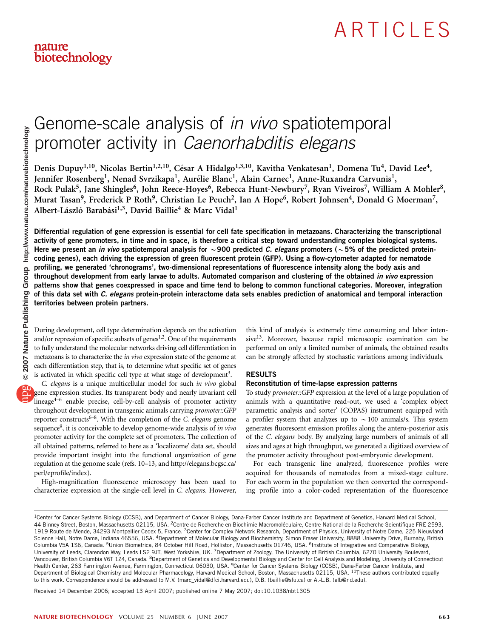# ARTICLES

# Genome-scale analysis of *in vivo* spatiotemporal promoter activity in Caenorhabditis elegans

Denis Dupuy<sup>1,10</sup>, Nicolas Bertin<sup>1,2,10</sup>, César A Hidalgo<sup>1,3,10</sup>, Kavitha Venkatesan<sup>1</sup>, Domena Tu<sup>4</sup>, David Lee<sup>4</sup>, Jennifer Rosenberg<sup>1</sup>, Nenad Svrzikapa<sup>1</sup>, Aurélie Blanc<sup>1</sup>, Alain Carnec<sup>1</sup>, Anne-Ruxandra Carvunis<sup>1</sup>, Rock Pulak<sup>5</sup>, Jane Shingles<sup>6</sup>, John Reece-Hoyes<sup>6</sup>, Rebecca Hunt-Newbury<sup>7</sup>, Ryan Viveiros<sup>7</sup>, William A Mohler<sup>8</sup>, Murat Tasan<sup>9</sup>, Frederick P Roth<sup>9</sup>, Christian Le Peuch<sup>2</sup>, Ian A Hope<sup>6</sup>, Robert Johnsen<sup>4</sup>, Donald G Moerman<sup>7</sup>, Albert-László Barabási<sup>1,3</sup>, David Baillie<sup>4</sup> & Marc Vidal<sup>1</sup>

Differential regulation of gene expression is essential for cell fate specification in metazoans. Characterizing the transcriptional activity of gene promoters, in time and in space, is therefore a critical step toward understanding complex biological systems. Here we present an in vivo spatiotemporal analysis for  $\sim$  900 predicted C. elegans promoters ( $\sim$  5% of the predicted proteincoding genes), each driving the expression of green fluorescent protein (GFP). Using a flow-cytometer adapted for nematode profiling, we generated 'chronograms', two-dimensional representations of fluorescence intensity along the body axis and throughout development from early larvae to adults. Automated comparison and clustering of the obtained in vivo expression patterns show that genes coexpressed in space and time tend to belong to common functional categories. Moreover, integration of this data set with C. elegans protein-protein interactome data sets enables prediction of anatomical and temporal interaction territories between protein partners.

During development, cell type determination depends on the activation and/or repression of specific subsets of genes $1,2$ . One of the requirements to fully understand the molecular networks driving cell differentiation in metazoans is to characterize the in vivo expression state of the genome at each differentiation step, that is, to determine what specific set of genes is activated in which specific cell type at what stage of development<sup>3</sup>.

C. elegans is a unique multicellular model for such in vivo global gene expression studies. Its transparent body and nearly invariant cell lineage $4-6$  enable precise, cell-by-cell analysis of promoter activity throughout development in transgenic animals carrying promoter::GFP reporter constructs<sup>6–8</sup>. With the completion of the C. elegans genome sequence<sup>9</sup>, it is conceivable to develop genome-wide analysis of in vivo promoter activity for the complete set of promoters. The collection of all obtained patterns, referred to here as a 'localizome' data set, should provide important insight into the functional organization of gene regulation at the genome scale (refs. 10–13, and http://elegans.bcgsc.ca/ perl/eprofile/index).

High-magnification fluorescence microscopy has been used to characterize expression at the single-cell level in C. elegans. However,

this kind of analysis is extremely time consuming and labor intensive<sup>13</sup>. Moreover, because rapid microscopic examination can be performed on only a limited number of animals, the obtained results can be strongly affected by stochastic variations among individuals.

#### RESULTS

#### Reconstitution of time-lapse expression patterns

To study promoter::GFP expression at the level of a large population of animals with a quantitative read-out, we used a 'complex object parametric analysis and sorter' (COPAS) instrument equipped with a profiler system that analyzes up to  $\sim$  100 animals/s. This system generates fluorescent emission profiles along the antero-posterior axis of the C. elegans body. By analyzing large numbers of animals of all sizes and ages at high throughput, we generated a digitized overview of the promoter activity throughout post-embryonic development.

For each transgenic line analyzed, fluorescence profiles were acquired for thousands of nematodes from a mixed-stage culture. For each worm in the population we then converted the corresponding profile into a color-coded representation of the fluorescence

Received 14 December 2006; accepted 13 April 2007; published online 7 May 2007; doi:10.1038/nbt1305

<sup>&</sup>lt;sup>1</sup>Center for Cancer Systems Biology (CCSB), and Department of Cancer Biology, Dana-Farber Cancer Institute and Department of Genetics, Harvard Medical School, 44 Binney Street, Boston, Massachusetts 02115, USA. <sup>2</sup>Centre de Recherche en Biochimie Macromoléculaire, Centre National de la Recherche Scientifique FRE 2593, 1919 Route de Mende, 34293 Montpellier Cedex 5, France. <sup>3</sup>Center for Complex Network Research, Department of Physics, University of Notre Dame, 225 Nieuwland Science Hall, Notre Dame, Indiana 46556, USA. <sup>4</sup>Department of Molecular Biology and Biochemistry, Simon Fraser University, 8888 University Drive, Burnaby, British Columbia V5A 1S6, Canada. <sup>5</sup>Union Biometrica, 84 October Hill Road, Holliston, Massachusetts 01746, USA. <sup>6</sup>Institute of Integrative and Comparative Biology, University of Leeds, Clarendon Way, Leeds LS2 9JT, West Yorkshire, UK. 7Department of Zoology, The University of British Columbia, 6270 University Boulevard, Vancouver, British Columbia V6T 1Z4, Canada. <sup>8</sup>Department of Genetics and Developmental Biology and Center for Cell Analysis and Modeling, University of Connecticut Health Center, 263 Farmington Avenue, Farmington, Connecticut 06030, USA. <sup>9</sup>Center for Cancer Systems Biology (CCSB), Dana-Farber Cancer Institute, and Department of Biological Chemistry and Molecular Pharmacology, Harvard Medical School, Boston, Massachusetts 02115, USA. <sup>10</sup>These authors contributed equally to this work. Correspondence should be addressed to M.V. (marc\_vidal@dfci.harvard.edu), D.B. (baillie@sfu.ca) or A.-L.B. (alb@nd.edu).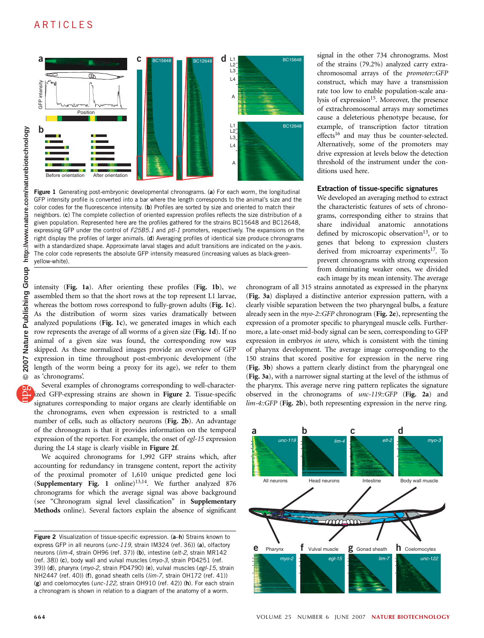

Figure 1 Generating post-embryonic developmental chronograms. (a) For each worm, the longitudinal GFP intensity profile is converted into a bar where the length corresponds to the animal's size and the color codes for the fluorescence intensity. (b) Profiles are sorted by size and oriented to match their neighbors. (c) The complete collection of oriented expression profiles reflects the size distribution of a given population. Represented here are the profiles gathered for the strains BC15648 and BC12648, expressing GFP under the control of F25B5.1 and pt/-1 promoters, respectively. The expansions on the right display the profiles of larger animals. (d) Averaging profiles of identical size produce chronograms with a standardized shape. Approximate larval stages and adult transitions are indicated on the  $y$ -axis. The color code represents the absolute GFP intensity measured (increasing values as black-greenyellow-white).

intensity (Fig. 1a). After orienting these profiles (Fig. 1b), we assembled them so that the short rows at the top represent L1 larvae, whereas the bottom rows correspond to fully-grown adults (Fig. 1c). As the distribution of worm sizes varies dramatically between analyzed populations (Fig. 1c), we generated images in which each row represents the average of all worms of a given size (Fig. 1d). If no animal of a given size was found, the corresponding row was skipped. As these normalized images provide an overview of GFP expression in time throughout post-embryonic development (the length of the worm being a proxy for its age), we refer to them as 'chronograms'.

Several examples of chronograms corresponding to well-characterized GFP-expressing strains are shown in Figure 2. Tissue-specific signatures corresponding to major organs are clearly identifiable on the chronograms, even when expression is restricted to a small number of cells, such as olfactory neurons (Fig. 2b). An advantage of the chronogram is that it provides information on the temporal expression of the reporter. For example, the onset of egl-15 expression during the L4 stage is clearly visible in Figure 2f.

We acquired chronograms for 1,992 GFP strains which, after accounting for redundancy in transgene content, report the activity of the proximal promoter of 1,610 unique predicted gene loci (Supplementary Fig. 1 online) $13,14$ . We further analyzed 876 chronograms for which the average signal was above background (see ''Chronogram signal level classification'' in Supplementary Methods online). Several factors explain the absence of significant

signal in the other 734 chronograms. Most of the strains (79.2%) analyzed carry extrachromosomal arrays of the promoter::GFP construct, which may have a transmission rate too low to enable population-scale analysis of expression $15$ . Moreover, the presence of extrachromosomal arrays may sometimes cause a deleterious phenotype because, for example, of transcription factor titration effects<sup>16</sup> and may thus be counter-selected. Alternatively, some of the promoters may drive expression at levels below the detection threshold of the instrument under the conditions used here.

#### Extraction of tissue-specific signatures

We developed an averaging method to extract the characteristic features of sets of chronograms, corresponding either to strains that share individual anatomic annotations defined by microscopic observation<sup>13</sup>, or to genes that belong to expression clusters derived from microarray experiments<sup>17</sup>. To prevent chronograms with strong expression from dominating weaker ones, we divided each image by its mean intensity. The average

chronogram of all 315 strains annotated as expressed in the pharynx (Fig. 3a) displayed a distinctive anterior expression pattern, with a clearly visible separation between the two pharyngeal bulbs, a feature already seen in the myo-2::GFP chronogram (Fig. 2e), representing the expression of a promoter specific to pharyngeal muscle cells. Furthermore, a late-onset mid-body signal can be seen, corresponding to GFP expression in embryos in utero, which is consistent with the timing of pharynx development. The average image corresponding to the 150 strains that scored positive for expression in the nerve ring (Fig. 3b) shows a pattern clearly distinct from the pharyngeal one (Fig. 3a), with a narrower signal starting at the level of the isthmus of the pharynx. This average nerve ring pattern replicates the signature observed in the chronograms of unc-119::GFP (Fig. 2a) and lim-4::GFP (Fig. 2b), both representing expression in the nerve ring.



Figure 2 Visualization of tissue-specific expression. (a-h) Strains known to express GFP in all neurons (unc-119, strain IM324 (ref. 36)) (a), olfactory neurons (lim-4, strain OH96 (ref. 37)) (b), intestine (elt-2, strain MR142 (ref. 38)) (c), body wall and vulval muscles (myo-3, strain PD4251 (ref. 39)) (d), pharynx (myo-2, strain PD4790) (e), vulval muscles (egl-15, strain NH2447 (ref. 40)) (f), gonad sheath cells (lim-7, strain OH172 (ref. 41)) (g) and coelomocytes (unc-122, strain OH910 (ref. 42)) (h). For each strain a chronogram is shown in relation to a diagram of the anatomy of a worm.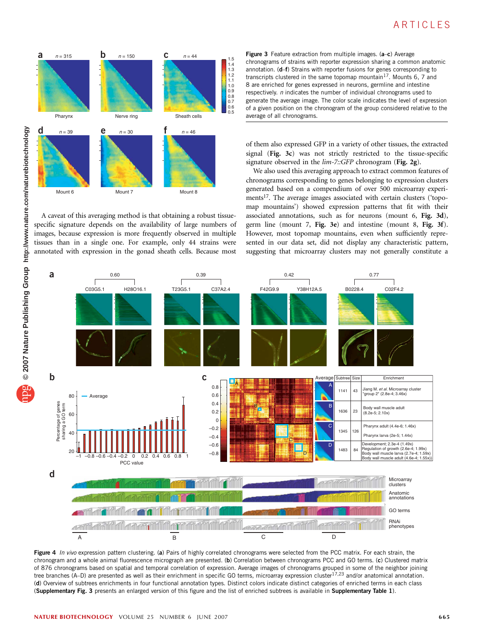

A caveat of this averaging method is that obtaining a robust tissuespecific signature depends on the availability of large numbers of images, because expression is more frequently observed in multiple tissues than in a single one. For example, only 44 strains were annotated with expression in the gonad sheath cells. Because most



of them also expressed GFP in a variety of other tissues, the extracted signal (Fig. 3c) was not strictly restricted to the tissue-specific signature observed in the *lim-7*::GFP chronogram (Fig. 2g).

We also used this averaging approach to extract common features of chronograms corresponding to genes belonging to expression clusters generated based on a compendium of over 500 microarray experiments<sup>17</sup>. The average images associated with certain clusters ('topomap mountains') showed expression patterns that fit with their associated annotations, such as for neurons (mount 6, Fig. 3d), germ line (mount 7, Fig. 3e) and intestine (mount 8, Fig. 3f). However, most topomap mountains, even when sufficiently represented in our data set, did not display any characteristic pattern, suggesting that microarray clusters may not generally constitute a



Figure 4 In vivo expression pattern clustering. (a) Pairs of highly correlated chronograms were selected from the PCC matrix. For each strain, the chronogram and a whole animal fluorescence micrograph are presented. (b) Correlation between chronograms PCC and GO terms. (c) Clustered matrix of 876 chronograms based on spatial and temporal correlation of expression. Average images of chronograms grouped in some of the neighbor joining tree branches (A–D) are presented as well as their enrichment in specific GO terms, microarray expression cluster<sup>17,23</sup> and/or anatomical annotation. (d) Overview of subtrees enrichments in four functional annotation types. Distinct colors indicate distinct categories of enriched terms in each class (Supplementary Fig. 3 presents an enlarged version of this figure and the list of enriched subtrees is available in Supplementary Table 1).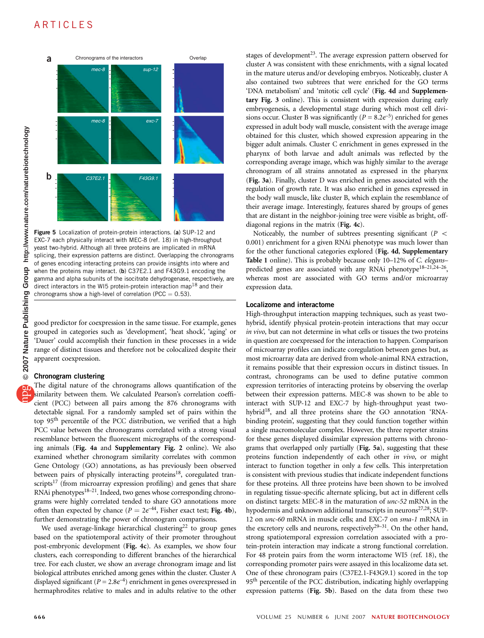### ARTICLES



Figure 5 Localization of protein-protein interactions. (a) SUP-12 and EXC-7 each physically interact with MEC-8 (ref. 18) in high-throughput yeast two-hybrid. Although all three proteins are implicated in mRNA splicing, their expression patterns are distinct. Overlapping the chronograms of genes encoding interacting proteins can provide insights into where and when the proteins may interact. (b) C37E2.1 and F43G9.1 encoding the gamma and alpha subunits of the isocitrate dehydrogenase, respectively, are direct interactors in the WI5 protein-protein interaction map<sup>18</sup> and their chronograms show a high-level of correlation (PCC  $= 0.53$ ).

good predictor for coexpression in the same tissue. For example, genes grouped in categories such as 'development', 'heat shock', 'aging' or 'Dauer' could accomplish their function in these processes in a wide range of distinct tissues and therefore not be colocalized despite their apparent coexpression.

#### Chronogram clustering

The digital nature of the chronograms allows quantification of the similarity between them. We calculated Pearson's correlation coefficient (PCC) between all pairs among the 876 chronograms with detectable signal. For a randomly sampled set of pairs within the top 95th percentile of the PCC distribution, we verified that a high PCC value between the chronograms correlated with a strong visual resemblance between the fluorescent micrographs of the corresponding animals (Fig. 4a and Supplementary Fig. 2 online). We also examined whether chronogram similarity correlates with common Gene Ontology (GO) annotations, as has previously been observed between pairs of physically interacting proteins<sup>18</sup>, coregulated transcripts $17$  (from microarray expression profiling) and genes that share RNAi phenotypes<sup>18–21</sup>. Indeed, two genes whose corresponding chronograms were highly correlated tended to share GO annotations more often than expected by chance ( $P = 2e^{-44}$ , Fisher exact test; Fig. 4b), further demonstrating the power of chronogram comparisons.

We used average-linkage hierarchical clustering<sup>22</sup> to group genes based on the spatiotemporal activity of their promoter throughout post-embryonic development (Fig. 4c). As examples, we show four clusters, each corresponding to different branches of the hierarchical tree. For each cluster, we show an average chronogram image and list biological attributes enriched among genes within the cluster. Cluster A displayed significant ( $P = 2.8e^{-4}$ ) enrichment in genes overexpressed in hermaphrodites relative to males and in adults relative to the other

stages of development<sup>23</sup>. The average expression pattern observed for cluster A was consistent with these enrichments, with a signal located in the mature uterus and/or developing embryos. Noticeably, cluster A also contained two subtrees that were enriched for the GO terms 'DNA metabolism' and 'mitotic cell cycle' (Fig. 4d and Supplementary Fig. 3 online). This is consistent with expression during early embryogenesis, a developmental stage during which most cell divisions occur. Cluster B was significantly ( $P = 8.2e^{-5}$ ) enriched for genes expressed in adult body wall muscle, consistent with the average image obtained for this cluster, which showed expression appearing in the bigger adult animals. Cluster C enrichment in genes expressed in the pharynx of both larvae and adult animals was reflected by the corresponding average image, which was highly similar to the average chronogram of all strains annotated as expressed in the pharynx (Fig. 3a). Finally, cluster D was enriched in genes associated with the regulation of growth rate. It was also enriched in genes expressed in the body wall muscle, like cluster B, which explain the resemblance of their average image. Interestingly, features shared by groups of genes that are distant in the neighbor-joining tree were visible as bright, offdiagonal regions in the matrix (Fig. 4c).

Noticeably, the number of subtrees presenting significant (P *o* 0.001) enrichment for a given RNAi phenotype was much lower than for the other functional categories explored (Fig. 4d, Supplementary Table 1 online). This is probably because only 10-12% of C. eleganspredicted genes are associated with any RNAi phenotype<sup>18-21,24-26</sup>, whereas most are associated with GO terms and/or microarray expression data.

#### Localizome and interactome

High-throughput interaction mapping techniques, such as yeast twohybrid, identify physical protein-protein interactions that may occur in vivo, but can not determine in what cells or tissues the two proteins in question are coexpressed for the interaction to happen. Comparison of microarray profiles can indicate coregulation between genes but, as most microarray data are derived from whole-animal RNA extraction, it remains possible that their expression occurs in distinct tissues. In contrast, chronograms can be used to define putative common expression territories of interacting proteins by observing the overlap between their expression patterns. MEC-8 was shown to be able to interact with SUP-12 and EXC-7 by high-throughput yeast twohybrid<sup>18</sup>, and all three proteins share the GO annotation 'RNAbinding protein', suggesting that they could function together within a single macromolecular complex. However, the three reporter strains for these genes displayed dissimilar expression patterns with chronograms that overlapped only partially (Fig. 5a), suggesting that these proteins function independently of each other in vivo, or might interact to function together in only a few cells. This interpretation is consistent with previous studies that indicate independent functions for these proteins. All three proteins have been shown to be involved in regulating tissue-specific alternate splicing, but act in different cells on distinct targets: MEC-8 in the maturation of unc-52 mRNA in the hypodermis and unknown additional transcripts in neurons<sup>27,28</sup>; SUP-12 on unc-60 mRNA in muscle cells; and EXC-7 on sma-1 mRNA in the excretory cells and neurons, respectively<sup>29–31</sup>. On the other hand, strong spatiotemporal expression correlation associated with a protein-protein interaction may indicate a strong functional correlation. For 48 protein pairs from the worm interactome WI5 (ref. 18), the corresponding promoter pairs were assayed in this localizome data set. One of these chronogram pairs (C37E2.1-F43G9.1) scored in the top 95<sup>th</sup> percentile of the PCC distribution, indicating highly overlapping expression patterns (Fig. 5b). Based on the data from these two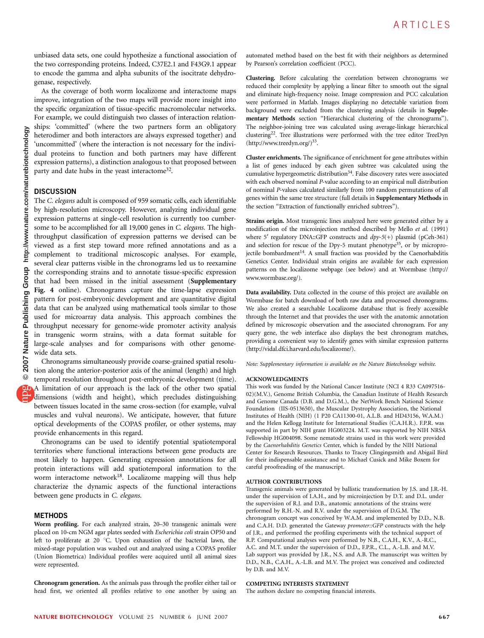unbiased data sets, one could hypothesize a functional association of the two corresponding proteins. Indeed, C37E2.1 and F43G9.1 appear to encode the gamma and alpha subunits of the isocitrate dehydrogenase, respectively.

As the coverage of both worm localizome and interactome maps improve, integration of the two maps will provide more insight into the specific organization of tissue-specific macromolecular networks. For example, we could distinguish two classes of interaction relationships: 'committed' (where the two partners form an obligatory heterodimer and both interactors are always expressed together) and 'uncommitted' (where the interaction is not necessary for the individual proteins to function and both partners may have different expression patterns), a distinction analogous to that proposed between party and date hubs in the yeast interactome<sup>32</sup>.

#### **DISCUSSION**

The C. elegans adult is composed of 959 somatic cells, each identifiable by high-resolution microscopy. However, analyzing individual gene expression patterns at single-cell resolution is currently too cumbersome to be accomplished for all 19,000 genes in C. elegans. The highthroughput classification of expression patterns we devised can be viewed as a first step toward more refined annotations and as a complement to traditional microscopic analyses. For example, several clear patterns visible in the chronograms led us to reexamine the corresponding strains and to annotate tissue-specific expression that had been missed in the initial assessment (Supplementary Fig. 4 online). Chronograms capture the time-lapse expression pattern for post-embryonic development and are quantitative digital data that can be analyzed using mathematical tools similar to those used for microarray data analysis. This approach combines the throughput necessary for genome-wide promoter activity analysis in transgenic worm strains, with a data format suitable for large-scale analyses and for comparisons with other genomewide data sets.

Chronograms simultaneously provide coarse-grained spatial resolution along the anterior-posterior axis of the animal (length) and high temporal resolution throughout post-embryonic development (time). A limitation of our approach is the lack of the other two spatial dimensions (width and height), which precludes distinguishing between tissues located in the same cross-section (for example, vulval muscles and vulval neurons). We anticipate, however, that future optical developments of the COPAS profiler, or other systems, may provide enhancements in this regard.

Chronograms can be used to identify potential spatiotemporal territories where functional interactions between gene products are most likely to happen. Generating expression annotations for all protein interactions will add spatiotemporal information to the worm interactome network<sup>18</sup>. Localizome mapping will thus help characterize the dynamic aspects of the functional interactions between gene products in C. elegans.

#### **METHODS**

Worm profiling. For each analyzed strain, 20–30 transgenic animals were placed on 10-cm NGM agar plates seeded with Escherichia coli strain OP50 and left to proliferate at 20 °C. Upon exhaustion of the bacterial lawn, the mixed-stage population was washed out and analyzed using a COPAS profiler (Union Biometrica) Individual profiles were acquired until all animal sizes were represented.

Chronogram generation. As the animals pass through the profiler either tail or head first, we oriented all profiles relative to one another by using an

automated method based on the best fit with their neighbors as determined by Pearson's correlation coefficient (PCC).

Clustering. Before calculating the correlation between chronograms we reduced their complexity by applying a linear filter to smooth out the signal and eliminate high-frequency noise. Image compression and PCC calculation were performed in Matlab. Images displaying no detectable variation from background were excluded from the clustering analysis (details in Supplementary Methods section ''Hierarchical clustering of the chronograms''). The neighbor-joining tree was calculated using average-linkage hierarchical clustering22. Tree illustrations were performed with the tree editor TreeDyn (http://www.treedyn.org/)33.

Cluster enrichments. The significance of enrichment for gene attributes within a list of genes induced by each given subtree was calculated using the cumulative hypergeometric distribution<sup>34</sup>. False discovery rates were associated with each observed nominal P-value according to an empirical null distribution of nominal P-values calculated similarly from 100 random permutations of all genes within the same tree structure (full details in Supplementary Methods in the section "Extraction of functionally enriched subtrees").

Strains origin. Most transgenic lines analyzed here were generated either by a modification of the microinjection method described by Mello et al. (1991) where 5<sup>*'*</sup> regulatory DNA::GFP constructs and  $dpy-5(+)$  plasmid (pCeh-361) and selection for rescue of the Dpy-5 mutant phenotype<sup>35</sup>, or by microprojectile bombardment $14$ . A small fraction was provided by the Caenorhabditis Genetics Center. Individual strain origins are available for each expression patterns on the localizome webpage (see below) and at Wormbase (http:// www.wormbase.org/).

Data availability. Data collected in the course of this project are available on Wormbase for batch download of both raw data and processed chronograms. We also created a searchable Localizome database that is freely accessible through the Internet and that provides the user with the anatomic annotation defined by microscopic observation and the associated chronogram. For any query gene, the web interface also displays the best chronogram matches, providing a convenient way to identify genes with similar expression patterns (http://vidal.dfci.harvard.edu/localizome/).

Note: Supplementary information is available on the Nature Biotechnology website.

#### ACKNOWLEDGMENTS

This work was funded by the National Cancer Institute (NCI 4 R33 CA097516- 02)(M.V.), Genome British Columbia, the Canadian Institute of Health Research and Genome Canada (D.B. and D.G.M.), the NetWork Bench National Science Foundation (IIS-0513650), the Muscular Dystrophy Association, the National Institutes of Health (NIH) (1 P20 CA11300-01, A.L.B. and HD43156, W.A.M.) and the Helen Kellogg Institute for International Studies (C.A.H.R.). F.P.R. was supported in part by NIH grant HG003224. M.T. was supported by NIH NRSA Fellowship HG004098. Some nematode strains used in this work were provided by the Caenorhabditis Genetics Center, which is funded by the NIH National Center for Research Resources. Thanks to Tracey Clingingsmith and Abigail Bird for their indispensable assistance and to Michael Cusick and Mike Boxem for careful proofreading of the manuscript.

#### AUTHOR CONTRIBUTIONS

Transgenic animals were generated by ballistic transformation by J.S. and J.R.-H. under the supervision of I.A.H., and by microinjection by D.T. and D.L. under the supervision of R.J. and D.B., anatomic annotations of the strains were performed by R.H.-N. and R.V. under the supervision of D.G.M. The chronogram concept was conceived by W.A.M. and implemented by D.D., N.B. and C.A.H. D.D. generated the Gateway promoter::GFP constructs with the help of J.R., and performed the profiling experiments with the technical support of R.P. Computational analyses were performed by N.B., C.A.H., K.V., A.-R.C., A.C. and M.T. under the supervision of D.D., F.P.R., C.L., A.-L.B. and M.V. Lab support was provided by J.R., N.S. and A.B. The manuscript was written by D.D., N.B., C.A.H., A.-L.B. and M.V. The project was conceived and codirected by D.B. and M.V.

#### COMPETING INTERESTS STATEMENT

The authors declare no competing financial interests.